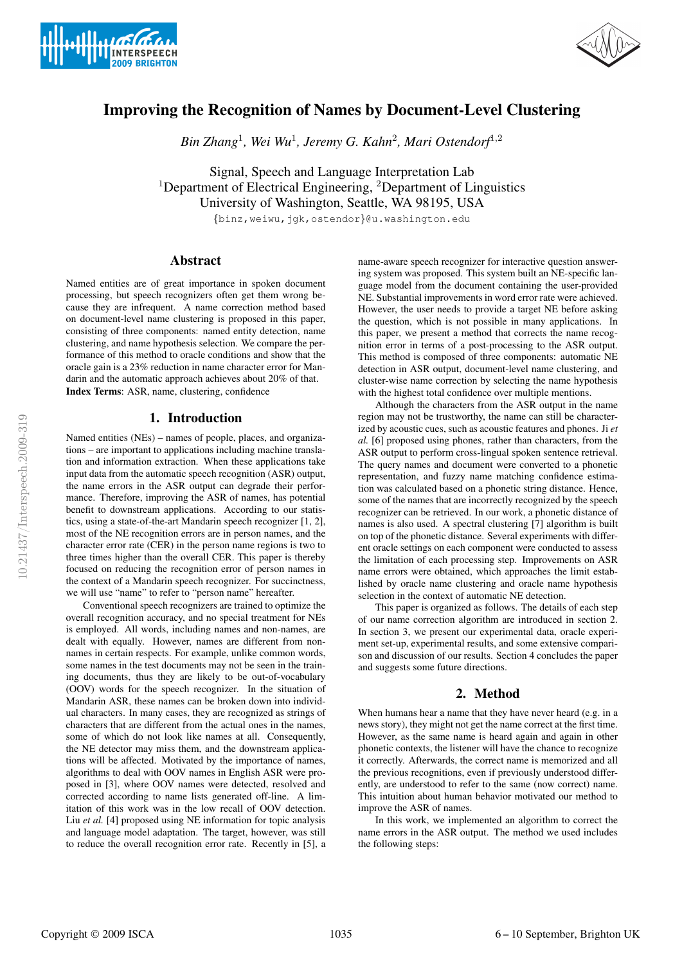



# Improving the Recognition of Names by Document-Level Clustering

*Bin Zhang*<sup>1</sup>*, Wei Wu*<sup>1</sup>*, Jeremy G. Kahn*<sup>2</sup>*, Mari Ostendorf*<sup>1</sup>,<sup>2</sup>

Signal, Speech and Language Interpretation Lab <sup>1</sup>Department of Electrical Engineering, <sup>2</sup>Department of Linguistics University of Washington, Seattle, WA 98195, USA

{binz,weiwu,jgk,ostendor}@u.washington.edu

## Abstract

Named entities are of great importance in spoken document processing, but speech recognizers often get them wrong because they are infrequent. A name correction method based on document-level name clustering is proposed in this paper, consisting of three components: named entity detection, name clustering, and name hypothesis selection. We compare the performance of this method to oracle conditions and show that the oracle gain is a 23% reduction in name character error for Mandarin and the automatic approach achieves about 20% of that. Index Terms: ASR, name, clustering, confidence

### 1. Introduction

Named entities (NEs) – names of people, places, and organizations – are important to applications including machine translation and information extraction. When these applications take input data from the automatic speech recognition (ASR) output, the name errors in the ASR output can degrade their performance. Therefore, improving the ASR of names, has potential benefit to downstream applications. According to our statistics, using a state-of-the-art Mandarin speech recognizer [1, 2], most of the NE recognition errors are in person names, and the character error rate (CER) in the person name regions is two to three times higher than the overall CER. This paper is thereby focused on reducing the recognition error of person names in the context of a Mandarin speech recognizer. For succinctness, we will use "name" to refer to "person name" hereafter.

Conventional speech recognizers are trained to optimize the overall recognition accuracy, and no special treatment for NEs is employed. All words, including names and non-names, are dealt with equally. However, names are different from nonnames in certain respects. For example, unlike common words, some names in the test documents may not be seen in the training documents, thus they are likely to be out-of-vocabulary (OOV) words for the speech recognizer. In the situation of Mandarin ASR, these names can be broken down into individual characters. In many cases, they are recognized as strings of characters that are different from the actual ones in the names, some of which do not look like names at all. Consequently, the NE detector may miss them, and the downstream applications will be affected. Motivated by the importance of names, algorithms to deal with OOV names in English ASR were proposed in [3], where OOV names were detected, resolved and corrected according to name lists generated off-line. A limitation of this work was in the low recall of OOV detection. Liu *et al.* [4] proposed using NE information for topic analysis and language model adaptation. The target, however, was still to reduce the overall recognition error rate. Recently in [5], a name-aware speech recognizer for interactive question answering system was proposed. This system built an NE-specific language model from the document containing the user-provided NE. Substantial improvements in word error rate were achieved. However, the user needs to provide a target NE before asking the question, which is not possible in many applications. In this paper, we present a method that corrects the name recognition error in terms of a post-processing to the ASR output. This method is composed of three components: automatic NE detection in ASR output, document-level name clustering, and cluster-wise name correction by selecting the name hypothesis with the highest total confidence over multiple mentions.

Although the characters from the ASR output in the name region may not be trustworthy, the name can still be characterized by acoustic cues, such as acoustic features and phones. Ji *et al.* [6] proposed using phones, rather than characters, from the ASR output to perform cross-lingual spoken sentence retrieval. The query names and document were converted to a phonetic representation, and fuzzy name matching confidence estimation was calculated based on a phonetic string distance. Hence, some of the names that are incorrectly recognized by the speech recognizer can be retrieved. In our work, a phonetic distance of names is also used. A spectral clustering [7] algorithm is built on top of the phonetic distance. Several experiments with different oracle settings on each component were conducted to assess the limitation of each processing step. Improvements on ASR name errors were obtained, which approaches the limit established by oracle name clustering and oracle name hypothesis selection in the context of automatic NE detection.

This paper is organized as follows. The details of each step of our name correction algorithm are introduced in section 2. In section 3, we present our experimental data, oracle experiment set-up, experimental results, and some extensive comparison and discussion of our results. Section 4 concludes the paper and suggests some future directions.

# 2. Method

When humans hear a name that they have never heard (e.g. in a news story), they might not get the name correct at the first time. However, as the same name is heard again and again in other phonetic contexts, the listener will have the chance to recognize it correctly. Afterwards, the correct name is memorized and all the previous recognitions, even if previously understood differently, are understood to refer to the same (now correct) name. This intuition about human behavior motivated our method to improve the ASR of names.

In this work, we implemented an algorithm to correct the name errors in the ASR output. The method we used includes the following steps: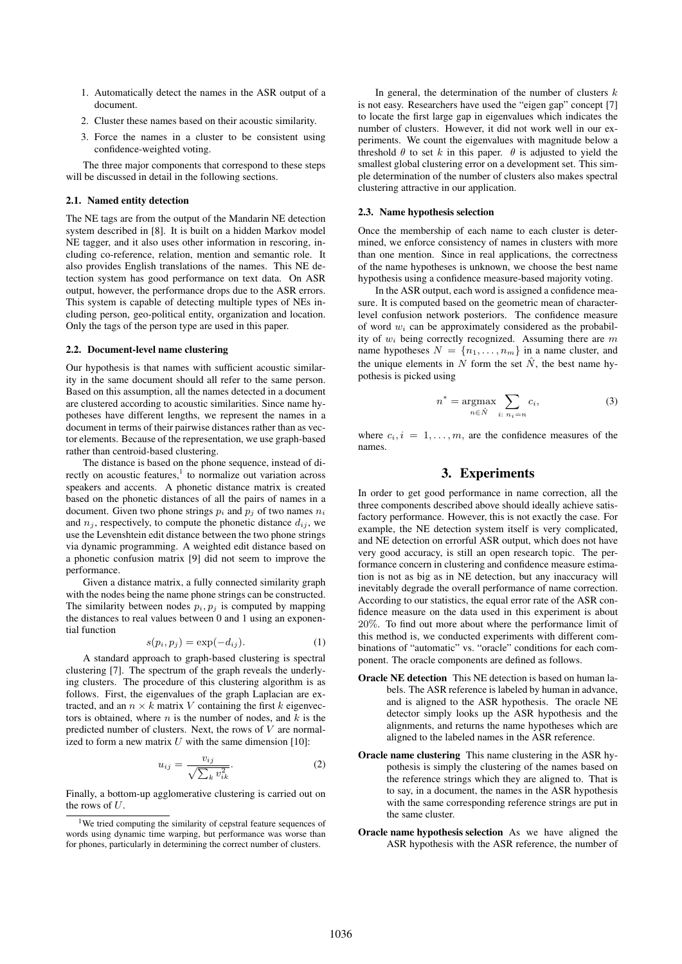- 1. Automatically detect the names in the ASR output of a document.
- 2. Cluster these names based on their acoustic similarity.
- 3. Force the names in a cluster to be consistent using confidence-weighted voting.

The three major components that correspond to these steps will be discussed in detail in the following sections.

#### 2.1. Named entity detection

The NE tags are from the output of the Mandarin NE detection system described in [8]. It is built on a hidden Markov model NE tagger, and it also uses other information in rescoring, including co-reference, relation, mention and semantic role. It also provides English translations of the names. This NE detection system has good performance on text data. On ASR output, however, the performance drops due to the ASR errors. This system is capable of detecting multiple types of NEs including person, geo-political entity, organization and location. Only the tags of the person type are used in this paper.

#### 2.2. Document-level name clustering

Our hypothesis is that names with sufficient acoustic similarity in the same document should all refer to the same person. Based on this assumption, all the names detected in a document are clustered according to acoustic similarities. Since name hypotheses have different lengths, we represent the names in a document in terms of their pairwise distances rather than as vector elements. Because of the representation, we use graph-based rather than centroid-based clustering.

The distance is based on the phone sequence, instead of directly on acoustic features, $<sup>1</sup>$  to normalize out variation across</sup> speakers and accents. A phonetic distance matrix is created based on the phonetic distances of all the pairs of names in a document. Given two phone strings  $p_i$  and  $p_j$  of two names  $n_i$ and  $n_i$ , respectively, to compute the phonetic distance  $d_{ij}$ , we use the Levenshtein edit distance between the two phone strings via dynamic programming. A weighted edit distance based on a phonetic confusion matrix [9] did not seem to improve the performance.

Given a distance matrix, a fully connected similarity graph with the nodes being the name phone strings can be constructed. The similarity between nodes  $p_i, p_j$  is computed by mapping the distances to real values between 0 and 1 using an exponential function

$$
s(p_i, p_j) = \exp(-d_{ij}).\tag{1}
$$

A standard approach to graph-based clustering is spectral clustering [7]. The spectrum of the graph reveals the underlying clusters. The procedure of this clustering algorithm is as follows. First, the eigenvalues of the graph Laplacian are extracted, and an  $n \times k$  matrix V containing the first k eigenvectors is obtained, where  $n$  is the number of nodes, and  $k$  is the predicted number of clusters. Next, the rows of  $V$  are normalized to form a new matrix  $U$  with the same dimension [10]:

$$
u_{ij} = \frac{v_{ij}}{\sqrt{\sum_k v_{ik}^2}}.\tag{2}
$$

Finally, a bottom-up agglomerative clustering is carried out on the rows of U.

In general, the determination of the number of clusters  $k$ is not easy. Researchers have used the "eigen gap" concept [7] to locate the first large gap in eigenvalues which indicates the number of clusters. However, it did not work well in our experiments. We count the eigenvalues with magnitude below a threshold  $\theta$  to set k in this paper.  $\theta$  is adjusted to yield the smallest global clustering error on a development set. This simple determination of the number of clusters also makes spectral clustering attractive in our application.

#### 2.3. Name hypothesis selection

Once the membership of each name to each cluster is determined, we enforce consistency of names in clusters with more than one mention. Since in real applications, the correctness of the name hypotheses is unknown, we choose the best name hypothesis using a confidence measure-based majority voting.

In the ASR output, each word is assigned a confidence measure. It is computed based on the geometric mean of characterlevel confusion network posteriors. The confidence measure of word  $w_i$  can be approximately considered as the probability of  $w_i$  being correctly recognized. Assuming there are  $m$ name hypotheses  $N = \{n_1, \ldots, n_m\}$  in a name cluster, and the unique elements in N form the set  $\hat{N}$ , the best name hypothesis is picked using

$$
n^* = \underset{n \in \hat{N}}{\operatorname{argmax}} \sum_{i: n_i = n} c_i,\tag{3}
$$

where  $c_i$ ,  $i = 1, \ldots, m$ , are the confidence measures of the names.

# 3. Experiments

In order to get good performance in name correction, all the three components described above should ideally achieve satisfactory performance. However, this is not exactly the case. For example, the NE detection system itself is very complicated, and NE detection on errorful ASR output, which does not have very good accuracy, is still an open research topic. The performance concern in clustering and confidence measure estimation is not as big as in NE detection, but any inaccuracy will inevitably degrade the overall performance of name correction. According to our statistics, the equal error rate of the ASR confidence measure on the data used in this experiment is about 20%. To find out more about where the performance limit of this method is, we conducted experiments with different combinations of "automatic" vs. "oracle" conditions for each component. The oracle components are defined as follows.

- Oracle NE detection This NE detection is based on human labels. The ASR reference is labeled by human in advance, and is aligned to the ASR hypothesis. The oracle NE detector simply looks up the ASR hypothesis and the alignments, and returns the name hypotheses which are aligned to the labeled names in the ASR reference.
- Oracle name clustering This name clustering in the ASR hypothesis is simply the clustering of the names based on the reference strings which they are aligned to. That is to say, in a document, the names in the ASR hypothesis with the same corresponding reference strings are put in the same cluster.
- Oracle name hypothesis selection As we have aligned the ASR hypothesis with the ASR reference, the number of

<sup>&</sup>lt;sup>1</sup>We tried computing the similarity of cepstral feature sequences of words using dynamic time warping, but performance was worse than for phones, particularly in determining the correct number of clusters.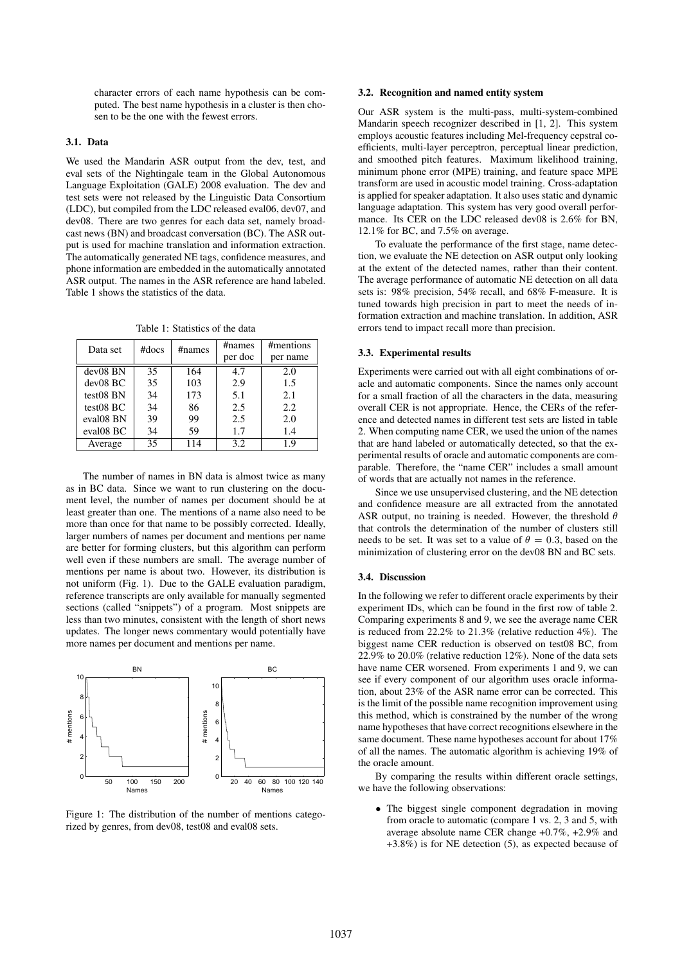character errors of each name hypothesis can be computed. The best name hypothesis in a cluster is then chosen to be the one with the fewest errors.

#### 3.1. Data

We used the Mandarin ASR output from the dev, test, and eval sets of the Nightingale team in the Global Autonomous Language Exploitation (GALE) 2008 evaluation. The dev and test sets were not released by the Linguistic Data Consortium (LDC), but compiled from the LDC released eval06, dev07, and dev08. There are two genres for each data set, namely broadcast news (BN) and broadcast conversation (BC). The ASR output is used for machine translation and information extraction. The automatically generated NE tags, confidence measures, and phone information are embedded in the automatically annotated ASR output. The names in the ASR reference are hand labeled. Table 1 shows the statistics of the data.

Table 1: Statistics of the data

| Data set              | $#$ docs | #names | #names<br>per doc | #mentions<br>per name |  |
|-----------------------|----------|--------|-------------------|-----------------------|--|
| $dev08$ BN            | 35       | 164    | 4.7               | 2.0                   |  |
| dev08 BC              | 35       | 103    | 2.9               | 1.5                   |  |
| $test08$ BN           | 34       | 173    | 5.1               | 2.1                   |  |
| test08 BC             | 34       | 86     | 2.5               | 2.2                   |  |
| eval08 BN             | 39       | 99     | 2.5               | 2.0                   |  |
| eval <sub>08</sub> BC | 34       | 59     | 1.7               | 1.4                   |  |
| Average               | 35       | 114    | 3.2               | 1.9                   |  |

The number of names in BN data is almost twice as many as in BC data. Since we want to run clustering on the document level, the number of names per document should be at least greater than one. The mentions of a name also need to be more than once for that name to be possibly corrected. Ideally, larger numbers of names per document and mentions per name are better for forming clusters, but this algorithm can perform well even if these numbers are small. The average number of mentions per name is about two. However, its distribution is not uniform (Fig. 1). Due to the GALE evaluation paradigm, reference transcripts are only available for manually segmented sections (called "snippets") of a program. Most snippets are less than two minutes, consistent with the length of short news updates. The longer news commentary would potentially have more names per document and mentions per name.



Figure 1: The distribution of the number of mentions categorized by genres, from dev08, test08 and eval08 sets.

### 3.2. Recognition and named entity system

Our ASR system is the multi-pass, multi-system-combined Mandarin speech recognizer described in [1, 2]. This system employs acoustic features including Mel-frequency cepstral coefficients, multi-layer perceptron, perceptual linear prediction, and smoothed pitch features. Maximum likelihood training, minimum phone error (MPE) training, and feature space MPE transform are used in acoustic model training. Cross-adaptation is applied for speaker adaptation. It also uses static and dynamic language adaptation. This system has very good overall performance. Its CER on the LDC released dev08 is 2.6% for BN, 12.1% for BC, and 7.5% on average.

To evaluate the performance of the first stage, name detection, we evaluate the NE detection on ASR output only looking at the extent of the detected names, rather than their content. The average performance of automatic NE detection on all data sets is: 98% precision, 54% recall, and 68% F-measure. It is tuned towards high precision in part to meet the needs of information extraction and machine translation. In addition, ASR errors tend to impact recall more than precision.

#### 3.3. Experimental results

Experiments were carried out with all eight combinations of oracle and automatic components. Since the names only account for a small fraction of all the characters in the data, measuring overall CER is not appropriate. Hence, the CERs of the reference and detected names in different test sets are listed in table 2. When computing name CER, we used the union of the names that are hand labeled or automatically detected, so that the experimental results of oracle and automatic components are comparable. Therefore, the "name CER" includes a small amount of words that are actually not names in the reference.

Since we use unsupervised clustering, and the NE detection and confidence measure are all extracted from the annotated ASR output, no training is needed. However, the threshold  $\theta$ that controls the determination of the number of clusters still needs to be set. It was set to a value of  $\theta = 0.3$ , based on the minimization of clustering error on the dev08 BN and BC sets.

#### 3.4. Discussion

In the following we refer to different oracle experiments by their experiment IDs, which can be found in the first row of table 2. Comparing experiments 8 and 9, we see the average name CER is reduced from 22.2% to 21.3% (relative reduction 4%). The biggest name CER reduction is observed on test08 BC, from 22.9% to 20.0% (relative reduction 12%). None of the data sets have name CER worsened. From experiments 1 and 9, we can see if every component of our algorithm uses oracle information, about 23% of the ASR name error can be corrected. This is the limit of the possible name recognition improvement using this method, which is constrained by the number of the wrong name hypotheses that have correct recognitions elsewhere in the same document. These name hypotheses account for about 17% of all the names. The automatic algorithm is achieving 19% of the oracle amount.

By comparing the results within different oracle settings, we have the following observations:

• The biggest single component degradation in moving from oracle to automatic (compare 1 vs. 2, 3 and 5, with average absolute name CER change +0.7%, +2.9% and +3.8%) is for NE detection (5), as expected because of